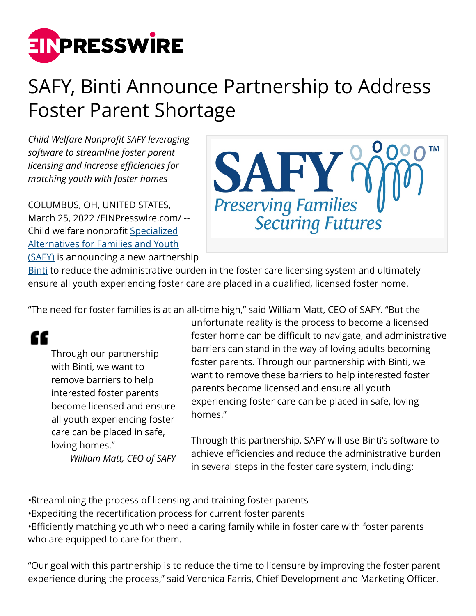

## SAFY, Binti Announce Partnership to Address Foster Parent Shortage

*Child Welfare Nonprofit SAFY leveraging software to streamline foster parent licensing and increase efficiencies for matching youth with foster homes*

COLUMBUS, OH, UNITED STATES, March 25, 2022 /[EINPresswire.com](http://www.einpresswire.com)/ -- Child welfare nonprofit [Specialized](http://www.safy.org/) [Alternatives for Families and Youth](http://www.safy.org/) [\(SAFY\)](http://www.safy.org/) is announcing a new partnership



[Binti](https://binti.com/) to reduce the administrative burden in the foster care licensing system and ultimately ensure all youth experiencing foster care are placed in a qualified, licensed foster home.

"The need for foster families is at an all-time high," said William Matt, CEO of SAFY. "But the

## "

Through our partnership with Binti, we want to remove barriers to help interested foster parents become licensed and ensure all youth experiencing foster care can be placed in safe, loving homes."

*William Matt, CEO of SAFY*

unfortunate reality is the process to become a licensed foster home can be difficult to navigate, and administrative barriers can stand in the way of loving adults becoming foster parents. Through our partnership with Binti, we want to remove these barriers to help interested foster parents become licensed and ensure all youth experiencing foster care can be placed in safe, loving homes."

Through this partnership, SAFY will use Binti's software to achieve efficiencies and reduce the administrative burden in several steps in the foster care system, including:

• Streamlining the process of licensing and training foster parents

• Expediting the recertification process for current foster parents

• Bificiently matching youth who need a caring family while in foster care with foster parents who are equipped to care for them.

"Our goal with this partnership is to reduce the time to licensure by improving the foster parent experience during the process," said Veronica Farris, Chief Development and Marketing Officer,